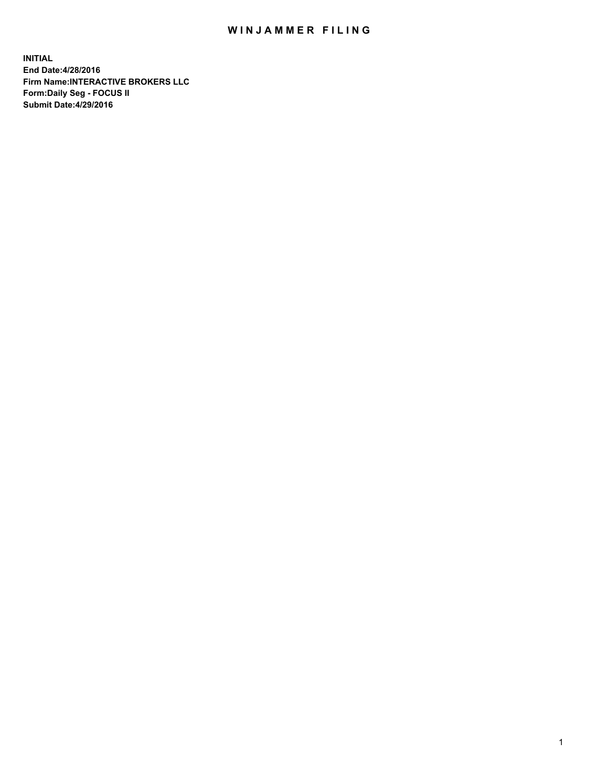## WIN JAMMER FILING

**INITIAL End Date:4/28/2016 Firm Name:INTERACTIVE BROKERS LLC Form:Daily Seg - FOCUS II Submit Date:4/29/2016**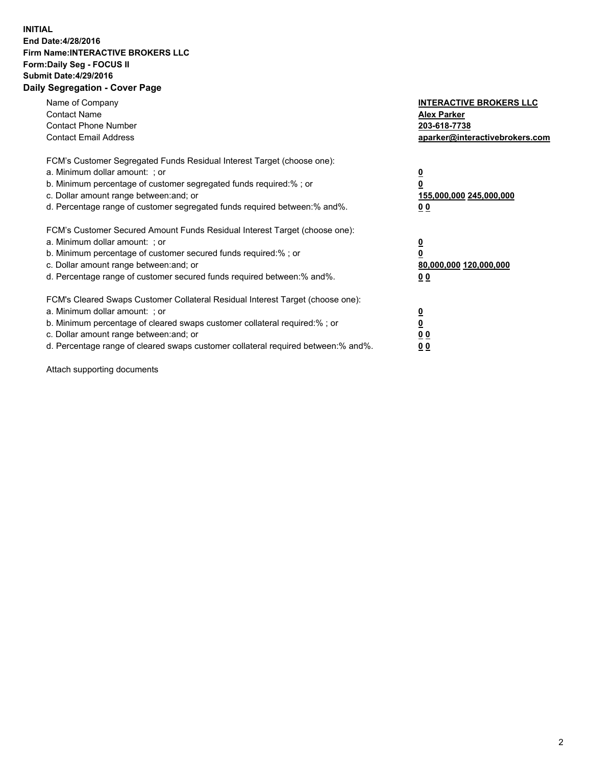## **INITIAL End Date:4/28/2016 Firm Name:INTERACTIVE BROKERS LLC Form:Daily Seg - FOCUS II Submit Date:4/29/2016 Daily Segregation - Cover Page**

| Name of Company<br><b>Contact Name</b><br><b>Contact Phone Number</b><br><b>Contact Email Address</b>                                                                                                                                                                                                                         | <b>INTERACTIVE BROKERS LLC</b><br><b>Alex Parker</b><br>203-618-7738<br>aparker@interactivebrokers.com |
|-------------------------------------------------------------------------------------------------------------------------------------------------------------------------------------------------------------------------------------------------------------------------------------------------------------------------------|--------------------------------------------------------------------------------------------------------|
| FCM's Customer Segregated Funds Residual Interest Target (choose one):<br>a. Minimum dollar amount: ; or<br>b. Minimum percentage of customer segregated funds required:% ; or<br>c. Dollar amount range between: and; or<br>d. Percentage range of customer segregated funds required between:% and%.                        | <u>0</u><br>155,000,000 245,000,000<br>0 <sub>0</sub>                                                  |
| FCM's Customer Secured Amount Funds Residual Interest Target (choose one):<br>a. Minimum dollar amount: ; or<br>b. Minimum percentage of customer secured funds required:%; or<br>c. Dollar amount range between: and; or<br>d. Percentage range of customer secured funds required between: % and %.                         | <u>0</u><br>80,000,000 120,000,000<br><u>00</u>                                                        |
| FCM's Cleared Swaps Customer Collateral Residual Interest Target (choose one):<br>a. Minimum dollar amount: ; or<br>b. Minimum percentage of cleared swaps customer collateral required:%; or<br>c. Dollar amount range between: and; or<br>d. Percentage range of cleared swaps customer collateral required between:% and%. | <u>0</u><br>0 <sub>0</sub><br>0 <sub>0</sub>                                                           |

Attach supporting documents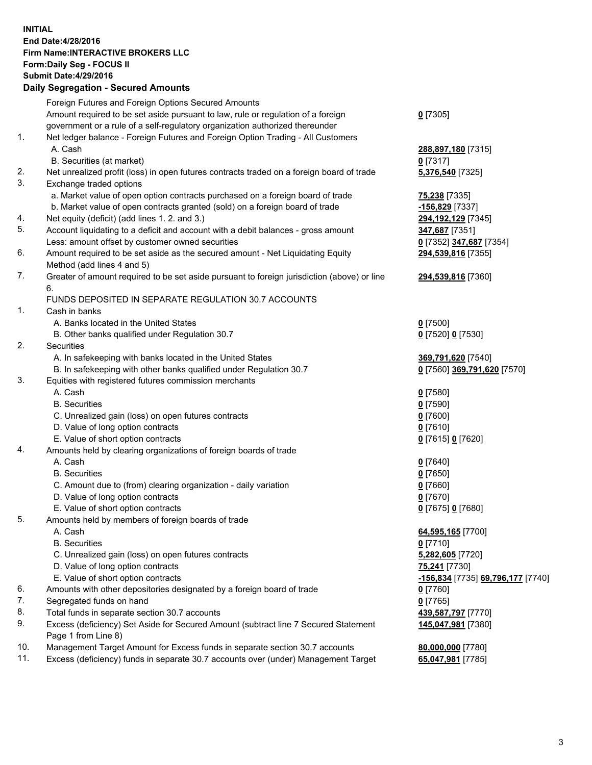## **INITIAL End Date:4/28/2016 Firm Name:INTERACTIVE BROKERS LLC Form:Daily Seg - FOCUS II Submit Date:4/29/2016 Daily Segregation - Secured Amounts**

|     | Foreign Futures and Foreign Options Secured Amounts                                                        |                                                 |
|-----|------------------------------------------------------------------------------------------------------------|-------------------------------------------------|
|     | Amount required to be set aside pursuant to law, rule or regulation of a foreign                           | $0$ [7305]                                      |
|     | government or a rule of a self-regulatory organization authorized thereunder                               |                                                 |
| 1.  | Net ledger balance - Foreign Futures and Foreign Option Trading - All Customers                            |                                                 |
|     | A. Cash                                                                                                    | 288,897,180 [7315]                              |
|     | B. Securities (at market)                                                                                  | $0$ [7317]                                      |
| 2.  | Net unrealized profit (loss) in open futures contracts traded on a foreign board of trade                  | 5,376,540 [7325]                                |
| 3.  | Exchange traded options                                                                                    |                                                 |
|     | a. Market value of open option contracts purchased on a foreign board of trade                             | <b>75,238</b> [7335]                            |
|     | b. Market value of open contracts granted (sold) on a foreign board of trade                               | <u>-156,829</u> [7337]                          |
| 4.  | Net equity (deficit) (add lines 1.2. and 3.)                                                               | 294,192,129 [7345]                              |
| 5.  | Account liquidating to a deficit and account with a debit balances - gross amount                          | <mark>347,687</mark> [7351]                     |
|     | Less: amount offset by customer owned securities                                                           | 0 [7352] 347,687 [7354]                         |
| 6.  | Amount required to be set aside as the secured amount - Net Liquidating Equity                             | 294,539,816 [7355]                              |
|     | Method (add lines 4 and 5)                                                                                 |                                                 |
| 7.  | Greater of amount required to be set aside pursuant to foreign jurisdiction (above) or line                | 294,539,816 [7360]                              |
|     | 6.                                                                                                         |                                                 |
|     | FUNDS DEPOSITED IN SEPARATE REGULATION 30.7 ACCOUNTS                                                       |                                                 |
| 1.  | Cash in banks                                                                                              |                                                 |
|     | A. Banks located in the United States                                                                      | $0$ [7500]                                      |
|     | B. Other banks qualified under Regulation 30.7                                                             | 0 [7520] 0 [7530]                               |
| 2.  | Securities                                                                                                 |                                                 |
|     | A. In safekeeping with banks located in the United States                                                  | 369,791,620 [7540]                              |
|     | B. In safekeeping with other banks qualified under Regulation 30.7                                         | 0 [7560] 369,791,620 [7570]                     |
| 3.  | Equities with registered futures commission merchants                                                      |                                                 |
|     | A. Cash                                                                                                    | $0$ [7580]                                      |
|     | <b>B.</b> Securities                                                                                       | $0$ [7590]                                      |
|     | C. Unrealized gain (loss) on open futures contracts                                                        | $0$ [7600]                                      |
|     | D. Value of long option contracts                                                                          | $0$ [7610]                                      |
|     | E. Value of short option contracts                                                                         |                                                 |
| 4.  |                                                                                                            | 0 [7615] 0 [7620]                               |
|     | Amounts held by clearing organizations of foreign boards of trade<br>A. Cash                               |                                                 |
|     |                                                                                                            | $0$ [7640]                                      |
|     | <b>B.</b> Securities                                                                                       | $0$ [7650]                                      |
|     | C. Amount due to (from) clearing organization - daily variation                                            | $0$ [7660]                                      |
|     | D. Value of long option contracts                                                                          | $0$ [7670]                                      |
|     | E. Value of short option contracts                                                                         | 0 [7675] 0 [7680]                               |
| 5.  | Amounts held by members of foreign boards of trade                                                         |                                                 |
|     | A. Cash                                                                                                    | 64,595,165 [7700]                               |
|     | <b>B.</b> Securities                                                                                       | $0$ [7710]                                      |
|     | C. Unrealized gain (loss) on open futures contracts                                                        | 5,282,605 [7720]                                |
|     | D. Value of long option contracts                                                                          | 75,241 [7730]                                   |
|     | E. Value of short option contracts                                                                         | <u>-156,834</u> [7735] <u>69,796,177</u> [7740] |
| 6.  | Amounts with other depositories designated by a foreign board of trade                                     | $0$ [7760]                                      |
| 7.  | Segregated funds on hand                                                                                   | $0$ [7765]                                      |
| 8.  | Total funds in separate section 30.7 accounts                                                              | 439,587,797 [7770]                              |
| 9.  | Excess (deficiency) Set Aside for Secured Amount (subtract line 7 Secured Statement<br>Page 1 from Line 8) | 145,047,981 [7380]                              |
| 10. | Management Target Amount for Excess funds in separate section 30.7 accounts                                | 80,000,000 [7780]                               |
| 11. | Excess (deficiency) funds in separate 30.7 accounts over (under) Management Target                         | 65,047,981 [7785]                               |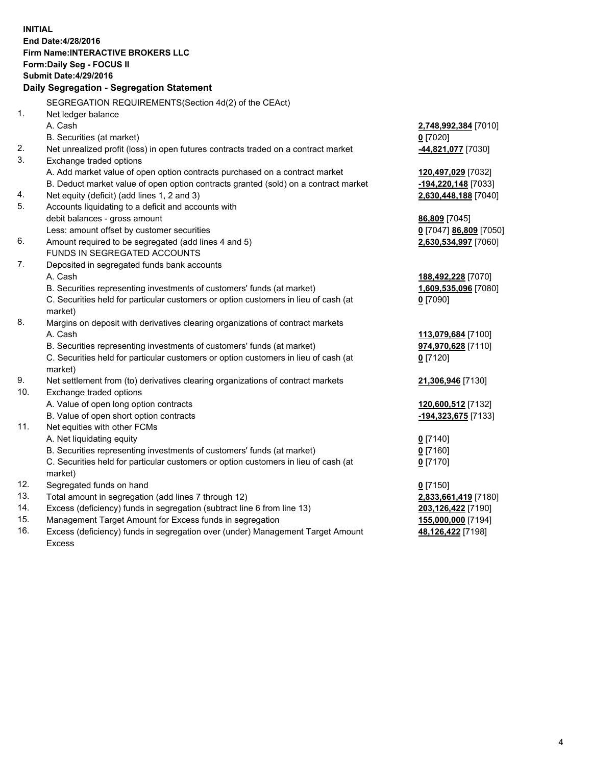**INITIAL End Date:4/28/2016 Firm Name:INTERACTIVE BROKERS LLC Form:Daily Seg - FOCUS II Submit Date:4/29/2016 Daily Segregation - Segregation Statement** SEGREGATION REQUIREMENTS(Section 4d(2) of the CEAct) 1. Net ledger balance A. Cash **2,748,992,384** [7010] B. Securities (at market) **0** [7020] 2. Net unrealized profit (loss) in open futures contracts traded on a contract market **-44,821,077** [7030] 3. Exchange traded options A. Add market value of open option contracts purchased on a contract market **120,497,029** [7032] B. Deduct market value of open option contracts granted (sold) on a contract market **-194,220,148** [7033] 4. Net equity (deficit) (add lines 1, 2 and 3) **2,630,448,188** [7040] 5. Accounts liquidating to a deficit and accounts with debit balances - gross amount **86,809** [7045] Less: amount offset by customer securities **0** [7047] **86,809** [7050] 6. Amount required to be segregated (add lines 4 and 5) **2,630,534,997** [7060] FUNDS IN SEGREGATED ACCOUNTS 7. Deposited in segregated funds bank accounts A. Cash **188,492,228** [7070] B. Securities representing investments of customers' funds (at market) **1,609,535,096** [7080] C. Securities held for particular customers or option customers in lieu of cash (at market) **0** [7090] 8. Margins on deposit with derivatives clearing organizations of contract markets A. Cash **113,079,684** [7100] B. Securities representing investments of customers' funds (at market) **974,970,628** [7110] C. Securities held for particular customers or option customers in lieu of cash (at market) **0** [7120] 9. Net settlement from (to) derivatives clearing organizations of contract markets **21,306,946** [7130] 10. Exchange traded options A. Value of open long option contracts **120,600,512** [7132] B. Value of open short option contracts **-194,323,675** [7133] 11. Net equities with other FCMs A. Net liquidating equity **0** [7140] B. Securities representing investments of customers' funds (at market) **0** [7160] C. Securities held for particular customers or option customers in lieu of cash (at market) **0** [7170] 12. Segregated funds on hand **0** [7150] 13. Total amount in segregation (add lines 7 through 12) **2,833,661,419** [7180] 14. Excess (deficiency) funds in segregation (subtract line 6 from line 13) **203,126,422** [7190] 15. Management Target Amount for Excess funds in segregation **155,000,000** [7194] 16. Excess (deficiency) funds in segregation over (under) Management Target Amount **48,126,422** [7198]

Excess